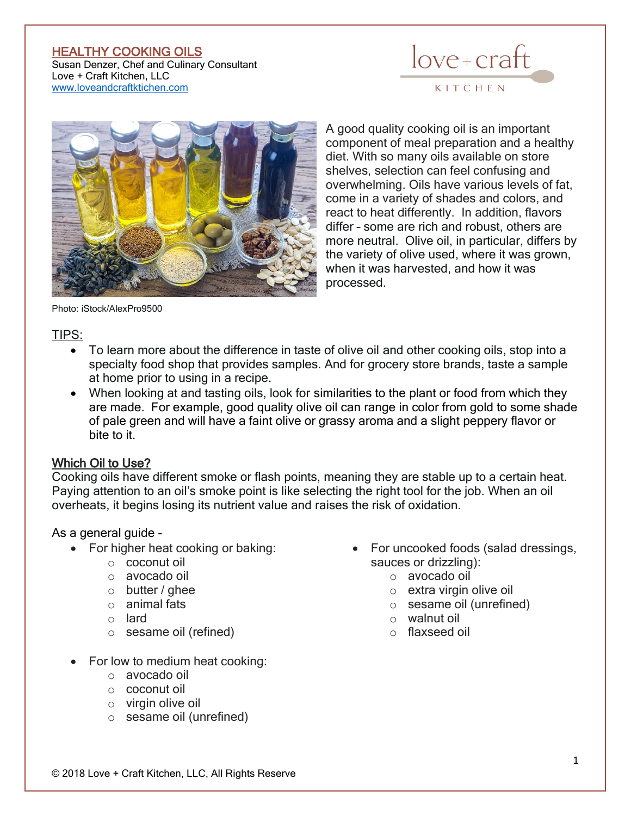### HEALTHY COOKING OILS

Susan Denzer, Chef and Culinary Consultant Love + Craft Kitchen, LLC [www.loveandcraftktichen.com](http://www.loveandcraftktichen.com/)





A good quality cooking oil is an important component of meal preparation and a healthy diet. With so many oils available on store shelves, selection can feel confusing and overwhelming. Oils have various levels of fat, come in a variety of shades and colors, and react to heat differently. In addition, flavors differ – some are rich and robust, others are more neutral. Olive oil, in particular, differs by the variety of olive used, where it was grown, when it was harvested, and how it was processed.

Photo: iStock/AlexPro9500

# TIPS:

- To learn more about the difference in taste of olive oil and other cooking oils, stop into a specialty food shop that provides samples. And for grocery store brands, taste a sample at home prior to using in a recipe.
- When looking at and tasting oils, look for similarities to the plant or food from which they are made. For example, good quality olive oil can range in color from gold to some shade of pale green and will have a faint olive or grassy aroma and a slight peppery flavor or bite to it.

# Which Oil to Use?

Cooking oils have different smoke or flash points, meaning they are stable up to a certain heat. Paying attention to an oil's smoke point is like selecting the right tool for the job. When an oil overheats, it begins losing its nutrient value and raises the risk of oxidation.

# As a general guide -

- For higher heat cooking or baking:
	- o coconut oil
	- o avocado oil
	- $\circ$  butter / ghee
	- o animal fats
	- o lard
	- o sesame oil (refined)
- For low to medium heat cooking:
	- o avocado oil
	- o coconut oil
	- o virgin olive oil
	- o sesame oil (unrefined)
- For uncooked foods (salad dressings, sauces or drizzling):
	- o avocado oil
	- o extra virgin olive oil
	- o sesame oil (unrefined)
	- o walnut oil
	- o flaxseed oil